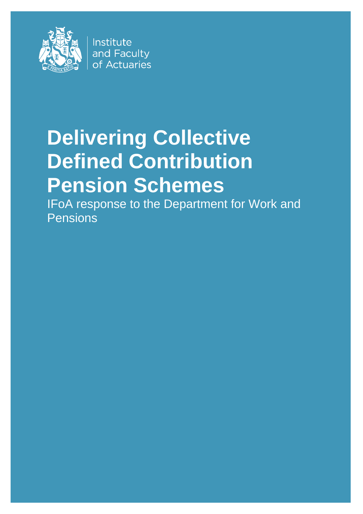

Institute and Faculty of Actuaries

# **Delivering Collective Defined Contribution Pension Schemes**

IFoA response to the Department for Work and Pensions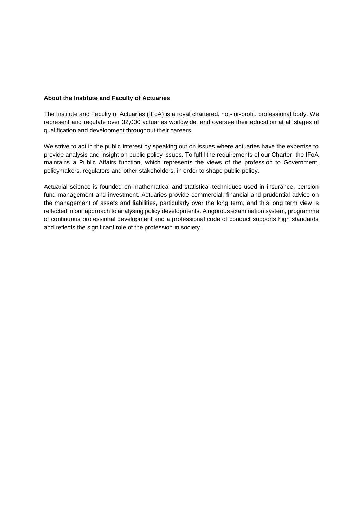#### **About the Institute and Faculty of Actuaries**

The Institute and Faculty of Actuaries (IFoA) is a royal chartered, not-for-profit, professional body. We represent and regulate over 32,000 actuaries worldwide, and oversee their education at all stages of qualification and development throughout their careers.

We strive to act in the public interest by speaking out on issues where actuaries have the expertise to provide analysis and insight on public policy issues. To fulfil the requirements of our Charter, the IFoA maintains a Public Affairs function, which represents the views of the profession to Government, policymakers, regulators and other stakeholders, in order to shape public policy.

Actuarial science is founded on mathematical and statistical techniques used in insurance, pension fund management and investment. Actuaries provide commercial, financial and prudential advice on the management of assets and liabilities, particularly over the long term, and this long term view is reflected in our approach to analysing policy developments. A rigorous examination system, programme of continuous professional development and a professional code of conduct supports high standards and reflects the significant role of the profession in society.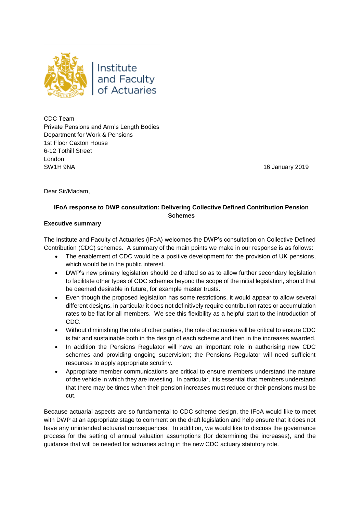

CDC Team Private Pensions and Arm's Length Bodies Department for Work & Pensions 1st Floor Caxton House 6-12 Tothill Street London SW1H 9NA 16 January 2019

Dear Sir/Madam,

## **IFoA response to DWP consultation: Delivering Collective Defined Contribution Pension Schemes**

#### **Executive summary**

The Institute and Faculty of Actuaries (IFoA) welcomes the DWP's consultation on Collective Defined Contribution (CDC) schemes. A summary of the main points we make in our response is as follows:

- The enablement of CDC would be a positive development for the provision of UK pensions, which would be in the public interest.
- DWP's new primary legislation should be drafted so as to allow further secondary legislation to facilitate other types of CDC schemes beyond the scope of the initial legislation, should that be deemed desirable in future, for example master trusts.
- Even though the proposed legislation has some restrictions, it would appear to allow several different designs, in particular it does not definitively require contribution rates or accumulation rates to be flat for all members. We see this flexibility as a helpful start to the introduction of CDC.
- Without diminishing the role of other parties, the role of actuaries will be critical to ensure CDC is fair and sustainable both in the design of each scheme and then in the increases awarded.
- In addition the Pensions Regulator will have an important role in authorising new CDC schemes and providing ongoing supervision; the Pensions Regulator will need sufficient resources to apply appropriate scrutiny.
- Appropriate member communications are critical to ensure members understand the nature of the vehicle in which they are investing. In particular, it is essential that members understand that there may be times when their pension increases must reduce or their pensions must be cut.

Because actuarial aspects are so fundamental to CDC scheme design, the IFoA would like to meet with DWP at an appropriate stage to comment on the draft legislation and help ensure that it does not have any unintended actuarial consequences. In addition, we would like to discuss the governance process for the setting of annual valuation assumptions (for determining the increases), and the guidance that will be needed for actuaries acting in the new CDC actuary statutory role.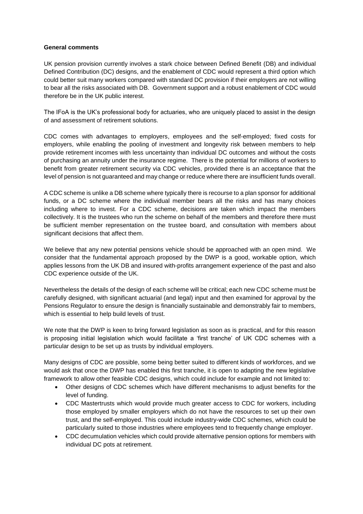#### **General comments**

UK pension provision currently involves a stark choice between Defined Benefit (DB) and individual Defined Contribution (DC) designs, and the enablement of CDC would represent a third option which could better suit many workers compared with standard DC provision if their employers are not willing to bear all the risks associated with DB. Government support and a robust enablement of CDC would therefore be in the UK public interest.

The IFoA is the UK's professional body for actuaries, who are uniquely placed to assist in the design of and assessment of retirement solutions.

CDC comes with advantages to employers, employees and the self-employed; fixed costs for employers, while enabling the pooling of investment and longevity risk between members to help provide retirement incomes with less uncertainty than individual DC outcomes and without the costs of purchasing an annuity under the insurance regime. There is the potential for millions of workers to benefit from greater retirement security via CDC vehicles, provided there is an acceptance that the level of pension is not guaranteed and may change or reduce where there are insufficient funds overall.

A CDC scheme is unlike a DB scheme where typically there is recourse to a plan sponsor for additional funds, or a DC scheme where the individual member bears all the risks and has many choices including where to invest. For a CDC scheme, decisions are taken which impact the members collectively. It is the trustees who run the scheme on behalf of the members and therefore there must be sufficient member representation on the trustee board, and consultation with members about significant decisions that affect them.

We believe that any new potential pensions vehicle should be approached with an open mind. We consider that the fundamental approach proposed by the DWP is a good, workable option, which applies lessons from the UK DB and insured with-profits arrangement experience of the past and also CDC experience outside of the UK.

Nevertheless the details of the design of each scheme will be critical; each new CDC scheme must be carefully designed, with significant actuarial (and legal) input and then examined for approval by the Pensions Regulator to ensure the design is financially sustainable and demonstrably fair to members, which is essential to help build levels of trust.

We note that the DWP is keen to bring forward legislation as soon as is practical, and for this reason is proposing initial legislation which would facilitate a 'first tranche' of UK CDC schemes with a particular design to be set up as trusts by individual employers.

Many designs of CDC are possible, some being better suited to different kinds of workforces, and we would ask that once the DWP has enabled this first tranche, it is open to adapting the new legislative framework to allow other feasible CDC designs, which could include for example and not limited to:

- Other designs of CDC schemes which have different mechanisms to adjust benefits for the level of funding.
- CDC Mastertrusts which would provide much greater access to CDC for workers, including those employed by smaller employers which do not have the resources to set up their own trust, and the self-employed. This could include industry-wide CDC schemes, which could be particularly suited to those industries where employees tend to frequently change employer.
- CDC decumulation vehicles which could provide alternative pension options for members with individual DC pots at retirement.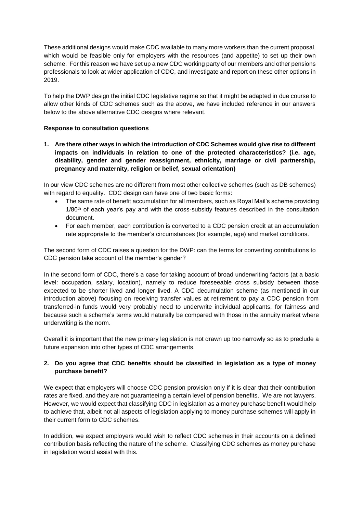These additional designs would make CDC available to many more workers than the current proposal, which would be feasible only for employers with the resources (and appetite) to set up their own scheme. For this reason we have set up a new CDC working party of our members and other pensions professionals to look at wider application of CDC, and investigate and report on these other options in 2019.

To help the DWP design the initial CDC legislative regime so that it might be adapted in due course to allow other kinds of CDC schemes such as the above, we have included reference in our answers below to the above alternative CDC designs where relevant.

#### **Response to consultation questions**

**1. Are there other ways in which the introduction of CDC Schemes would give rise to different impacts on individuals in relation to one of the protected characteristics? (i.e. age, disability, gender and gender reassignment, ethnicity, marriage or civil partnership, pregnancy and maternity, religion or belief, sexual orientation)**

In our view CDC schemes are no different from most other collective schemes (such as DB schemes) with regard to equality. CDC design can have one of two basic forms:

- The same rate of benefit accumulation for all members, such as Royal Mail's scheme providing  $1/80<sup>th</sup>$  of each year's pay and with the cross-subsidy features described in the consultation document.
- For each member, each contribution is converted to a CDC pension credit at an accumulation rate appropriate to the member's circumstances (for example, age) and market conditions.

The second form of CDC raises a question for the DWP: can the terms for converting contributions to CDC pension take account of the member's gender?

In the second form of CDC, there's a case for taking account of broad underwriting factors (at a basic level: occupation, salary, location), namely to reduce foreseeable cross subsidy between those expected to be shorter lived and longer lived. A CDC decumulation scheme (as mentioned in our introduction above) focusing on receiving transfer values at retirement to pay a CDC pension from transferred-in funds would very probably need to underwrite individual applicants, for fairness and because such a scheme's terms would naturally be compared with those in the annuity market where underwriting is the norm.

Overall it is important that the new primary legislation is not drawn up too narrowly so as to preclude a future expansion into other types of CDC arrangements.

## **2. Do you agree that CDC benefits should be classified in legislation as a type of money purchase benefit?**

We expect that employers will choose CDC pension provision only if it is clear that their contribution rates are fixed, and they are not guaranteeing a certain level of pension benefits. We are not lawyers. However, we would expect that classifying CDC in legislation as a money purchase benefit would help to achieve that, albeit not all aspects of legislation applying to money purchase schemes will apply in their current form to CDC schemes.

In addition, we expect employers would wish to reflect CDC schemes in their accounts on a defined contribution basis reflecting the nature of the scheme. Classifying CDC schemes as money purchase in legislation would assist with this.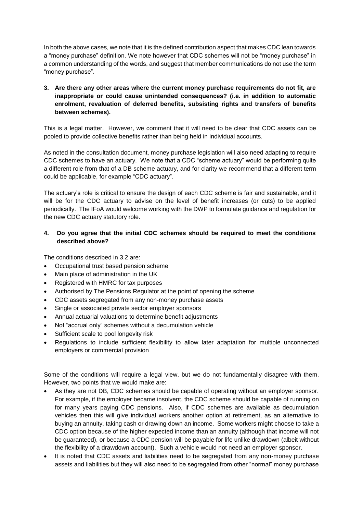In both the above cases, we note that it is the defined contribution aspect that makes CDC lean towards a "money purchase" definition. We note however that CDC schemes will not be "money purchase" in a common understanding of the words, and suggest that member communications do not use the term "money purchase".

## **3. Are there any other areas where the current money purchase requirements do not fit, are inappropriate or could cause unintended consequences? (i.e. in addition to automatic enrolment, revaluation of deferred benefits, subsisting rights and transfers of benefits between schemes).**

This is a legal matter. However, we comment that it will need to be clear that CDC assets can be pooled to provide collective benefits rather than being held in individual accounts.

As noted in the consultation document, money purchase legislation will also need adapting to require CDC schemes to have an actuary. We note that a CDC "scheme actuary" would be performing quite a different role from that of a DB scheme actuary, and for clarity we recommend that a different term could be applicable, for example "CDC actuary".

The actuary's role is critical to ensure the design of each CDC scheme is fair and sustainable, and it will be for the CDC actuary to advise on the level of benefit increases (or cuts) to be applied periodically. The IFoA would welcome working with the DWP to formulate guidance and regulation for the new CDC actuary statutory role.

## **4. Do you agree that the initial CDC schemes should be required to meet the conditions described above?**

The conditions described in 3.2 are:

- Occupational trust based pension scheme
- Main place of administration in the UK
- Registered with HMRC for tax purposes
- Authorised by The Pensions Regulator at the point of opening the scheme
- CDC assets segregated from any non-money purchase assets
- Single or associated private sector employer sponsors
- Annual actuarial valuations to determine benefit adjustments
- Not "accrual only" schemes without a decumulation vehicle
- Sufficient scale to pool longevity risk
- Regulations to include sufficient flexibility to allow later adaptation for multiple unconnected employers or commercial provision

Some of the conditions will require a legal view, but we do not fundamentally disagree with them. However, two points that we would make are:

- As they are not DB, CDC schemes should be capable of operating without an employer sponsor. For example, if the employer became insolvent, the CDC scheme should be capable of running on for many years paying CDC pensions. Also, if CDC schemes are available as decumulation vehicles then this will give individual workers another option at retirement, as an alternative to buying an annuity, taking cash or drawing down an income. Some workers might choose to take a CDC option because of the higher expected income than an annuity (although that income will not be guaranteed), or because a CDC pension will be payable for life unlike drawdown (albeit without the flexibility of a drawdown account). Such a vehicle would not need an employer sponsor.
- It is noted that CDC assets and liabilities need to be segregated from any non-money purchase assets and liabilities but they will also need to be segregated from other "normal" money purchase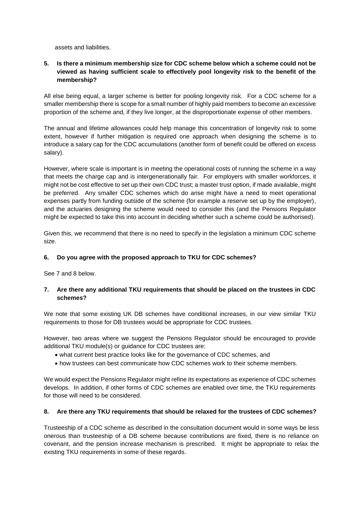assets and liabilities.

## **5. Is there a minimum membership size for CDC scheme below which a scheme could not be viewed as having sufficient scale to effectively pool longevity risk to the benefit of the membership?**

All else being equal, a larger scheme is better for pooling longevity risk. For a CDC scheme for a smaller membership there is scope for a small number of highly paid members to become an excessive proportion of the scheme and, if they live longer, at the disproportionate expense of other members.

The annual and lifetime allowances could help manage this concentration of longevity risk to some extent, however if further mitigation is required one approach when designing the scheme is to introduce a salary cap for the CDC accumulations (another form of benefit could be offered on excess salary).

However, where scale is important is in meeting the operational costs of running the scheme in a way that meets the charge cap and is intergenerationally fair. For employers with smaller workforces, it might not be cost effective to set up their own CDC trust; a master trust option, if made available, might be preferred. Any smaller CDC schemes which do arise might have a need to meet operational expenses partly from funding outside of the scheme (for example a reserve set up by the employer), and the actuaries designing the scheme would need to consider this (and the Pensions Regulator might be expected to take this into account in deciding whether such a scheme could be authorised).

Given this, we recommend that there is no need to specify in the legislation a minimum CDC scheme size.

#### **6. Do you agree with the proposed approach to TKU for CDC schemes?**

See 7 and 8 below.

#### **7. Are there any additional TKU requirements that should be placed on the trustees in CDC schemes?**

We note that some existing UK DB schemes have conditional increases, in our view similar TKU requirements to those for DB trustees would be appropriate for CDC trustees.

However, two areas where we suggest the Pensions Regulator should be encouraged to provide additional TKU module(s) or guidance for CDC trustees are:

- what current best practice looks like for the governance of CDC schemes, and
- how trustees can best communicate how CDC schemes work to their scheme members.

We would expect the Pensions Regulator might refine its expectations as experience of CDC schemes develops. In addition, if other forms of CDC schemes are enabled over time, the TKU requirements for those will need to be considered.

#### **8. Are there any TKU requirements that should be relaxed for the trustees of CDC schemes?**

Trusteeship of a CDC scheme as described in the consultation document would in some ways be less onerous than trusteeship of a DB scheme because contributions are fixed, there is no reliance on covenant, and the pension increase mechanism is prescribed. It might be appropriate to relax the existing TKU requirements in some of these regards.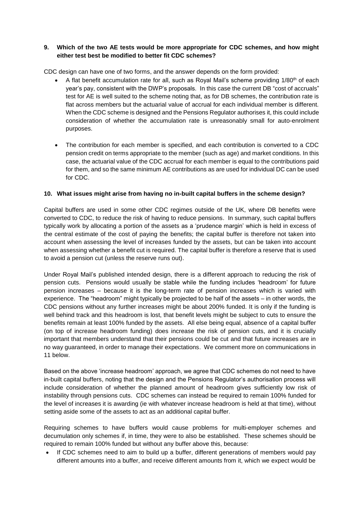## **9. Which of the two AE tests would be more appropriate for CDC schemes, and how might either test best be modified to better fit CDC schemes?**

CDC design can have one of two forms, and the answer depends on the form provided:

- A flat benefit accumulation rate for all, such as Royal Mail's scheme providing 1/80th of each year's pay, consistent with the DWP's proposals. In this case the current DB "cost of accruals" test for AE is well suited to the scheme noting that, as for DB schemes, the contribution rate is flat across members but the actuarial value of accrual for each individual member is different. When the CDC scheme is designed and the Pensions Regulator authorises it, this could include consideration of whether the accumulation rate is unreasonably small for auto-enrolment purposes.
- The contribution for each member is specified, and each contribution is converted to a CDC pension credit on terms appropriate to the member (such as age) and market conditions. In this case, the actuarial value of the CDC accrual for each member is equal to the contributions paid for them, and so the same minimum AE contributions as are used for individual DC can be used for CDC.

## **10. What issues might arise from having no in-built capital buffers in the scheme design?**

Capital buffers are used in some other CDC regimes outside of the UK, where DB benefits were converted to CDC, to reduce the risk of having to reduce pensions. In summary, such capital buffers typically work by allocating a portion of the assets as a 'prudence margin' which is held in excess of the central estimate of the cost of paying the benefits; the capital buffer is therefore not taken into account when assessing the level of increases funded by the assets, but can be taken into account when assessing whether a benefit cut is required. The capital buffer is therefore a reserve that is used to avoid a pension cut (unless the reserve runs out).

Under Royal Mail's published intended design, there is a different approach to reducing the risk of pension cuts. Pensions would usually be stable while the funding includes 'headroom' for future pension increases – because it is the long-term rate of pension increases which is varied with experience. The "headroom" might typically be projected to be half of the assets – in other words, the CDC pensions without any further increases might be about 200% funded. It is only if the funding is well behind track and this headroom is lost, that benefit levels might be subject to cuts to ensure the benefits remain at least 100% funded by the assets. All else being equal, absence of a capital buffer (on top of increase headroom funding) does increase the risk of pension cuts, and it is crucially important that members understand that their pensions could be cut and that future increases are in no way guaranteed, in order to manage their expectations. We comment more on communications in 11 below.

Based on the above 'increase headroom' approach, we agree that CDC schemes do not need to have in-built capital buffers, noting that the design and the Pensions Regulator's authorisation process will include consideration of whether the planned amount of headroom gives sufficiently low risk of instability through pensions cuts. CDC schemes can instead be required to remain 100% funded for the level of increases it is awarding (ie with whatever increase headroom is held at that time), without setting aside some of the assets to act as an additional capital buffer.

Requiring schemes to have buffers would cause problems for multi-employer schemes and decumulation only schemes if, in time, they were to also be established. These schemes should be required to remain 100% funded but without any buffer above this, because:

 If CDC schemes need to aim to build up a buffer, different generations of members would pay different amounts into a buffer, and receive different amounts from it, which we expect would be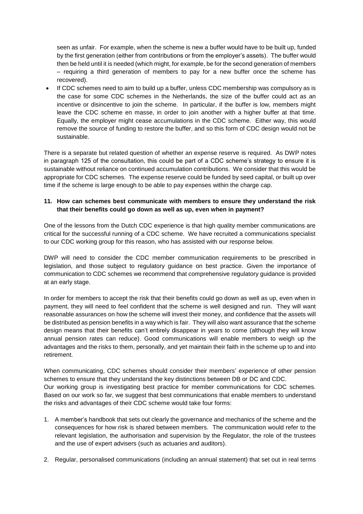seen as unfair. For example, when the scheme is new a buffer would have to be built up, funded by the first generation (either from contributions or from the employer's assets). The buffer would then be held until it is needed (which might, for example, be for the second generation of members – requiring a third generation of members to pay for a new buffer once the scheme has recovered).

 If CDC schemes need to aim to build up a buffer, unless CDC membership was compulsory as is the case for some CDC schemes in the Netherlands, the size of the buffer could act as an incentive or disincentive to join the scheme. In particular, if the buffer is low, members might leave the CDC scheme en masse, in order to join another with a higher buffer at that time. Equally, the employer might cease accumulations in the CDC scheme. Either way, this would remove the source of funding to restore the buffer, and so this form of CDC design would not be sustainable.

There is a separate but related question of whether an expense reserve is required. As DWP notes in paragraph 125 of the consultation, this could be part of a CDC scheme's strategy to ensure it is sustainable without reliance on continued accumulation contributions. We consider that this would be appropriate for CDC schemes. The expense reserve could be funded by seed capital, or built up over time if the scheme is large enough to be able to pay expenses within the charge cap.

## **11. How can schemes best communicate with members to ensure they understand the risk that their benefits could go down as well as up, even when in payment?**

One of the lessons from the Dutch CDC experience is that high quality member communications are critical for the successful running of a CDC scheme. We have recruited a communications specialist to our CDC working group for this reason, who has assisted with our response below.

DWP will need to consider the CDC member communication requirements to be prescribed in legislation, and those subject to regulatory guidance on best practice. Given the importance of communication to CDC schemes we recommend that comprehensive regulatory guidance is provided at an early stage.

In order for members to accept the risk that their benefits could go down as well as up, even when in payment, they will need to feel confident that the scheme is well designed and run. They will want reasonable assurances on how the scheme will invest their money, and confidence that the assets will be distributed as pension benefits in a way which is fair. They will also want assurance that the scheme design means that their benefits can't entirely disappear in years to come (although they will know annual pension rates can reduce). Good communications will enable members to weigh up the advantages and the risks to them, personally, and yet maintain their faith in the scheme up to and into retirement.

When communicating, CDC schemes should consider their members' experience of other pension schemes to ensure that they understand the key distinctions between DB or DC and CDC. Our working group is investigating best practice for member communications for CDC schemes. Based on our work so far, we suggest that best communications that enable members to understand the risks and advantages of their CDC scheme would take four forms:

- 1. A member's handbook that sets out clearly the governance and mechanics of the scheme and the consequences for how risk is shared between members. The communication would refer to the relevant legislation, the authorisation and supervision by the Regulator, the role of the trustees and the use of expert advisers (such as actuaries and auditors).
- 2. Regular, personalised communications (including an annual statement) that set out in real terms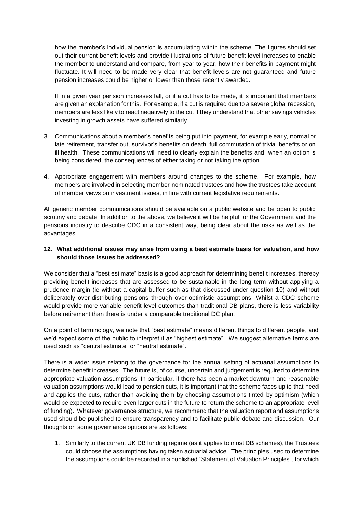how the member's individual pension is accumulating within the scheme. The figures should set out their current benefit levels and provide illustrations of future benefit level increases to enable the member to understand and compare, from year to year, how their benefits in payment might fluctuate. It will need to be made very clear that benefit levels are not guaranteed and future pension increases could be higher or lower than those recently awarded.

If in a given year pension increases fall, or if a cut has to be made, it is important that members are given an explanation for this. For example, if a cut is required due to a severe global recession, members are less likely to react negatively to the cut if they understand that other savings vehicles investing in growth assets have suffered similarly.

- 3. Communications about a member's benefits being put into payment, for example early, normal or late retirement, transfer out, survivor's benefits on death, full commutation of trivial benefits or on ill health. These communications will need to clearly explain the benefits and, when an option is being considered, the consequences of either taking or not taking the option.
- 4. Appropriate engagement with members around changes to the scheme. For example, how members are involved in selecting member-nominated trustees and how the trustees take account of member views on investment issues, in line with current legislative requirements.

All generic member communications should be available on a public website and be open to public scrutiny and debate. In addition to the above, we believe it will be helpful for the Government and the pensions industry to describe CDC in a consistent way, being clear about the risks as well as the advantages.

## **12. What additional issues may arise from using a best estimate basis for valuation, and how should those issues be addressed?**

We consider that a "best estimate" basis is a good approach for determining benefit increases, thereby providing benefit increases that are assessed to be sustainable in the long term without applying a prudence margin (ie without a capital buffer such as that discussed under question 10) and without deliberately over-distributing pensions through over-optimistic assumptions. Whilst a CDC scheme would provide more variable benefit level outcomes than traditional DB plans, there is less variability before retirement than there is under a comparable traditional DC plan.

On a point of terminology, we note that "best estimate" means different things to different people, and we'd expect some of the public to interpret it as "highest estimate". We suggest alternative terms are used such as "central estimate" or "neutral estimate".

There is a wider issue relating to the governance for the annual setting of actuarial assumptions to determine benefit increases. The future is, of course, uncertain and judgement is required to determine appropriate valuation assumptions. In particular, if there has been a market downturn and reasonable valuation assumptions would lead to pension cuts, it is important that the scheme faces up to that need and applies the cuts, rather than avoiding them by choosing assumptions tinted by optimism (which would be expected to require even larger cuts in the future to return the scheme to an appropriate level of funding). Whatever governance structure, we recommend that the valuation report and assumptions used should be published to ensure transparency and to facilitate public debate and discussion. Our thoughts on some governance options are as follows:

1. Similarly to the current UK DB funding regime (as it applies to most DB schemes), the Trustees could choose the assumptions having taken actuarial advice. The principles used to determine the assumptions could be recorded in a published "Statement of Valuation Principles", for which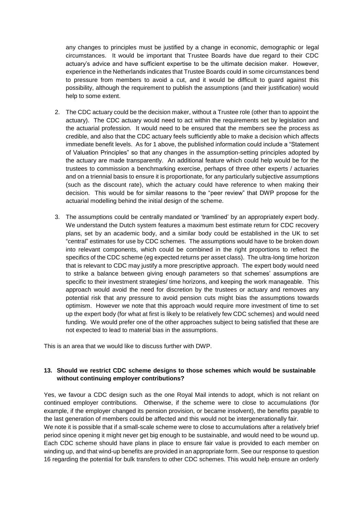any changes to principles must be justified by a change in economic, demographic or legal circumstances. It would be important that Trustee Boards have due regard to their CDC actuary's advice and have sufficient expertise to be the ultimate decision maker. However, experience in the Netherlands indicates that Trustee Boards could in some circumstances bend to pressure from members to avoid a cut, and it would be difficult to guard against this possibility, although the requirement to publish the assumptions (and their justification) would help to some extent.

- 2. The CDC actuary could be the decision maker, without a Trustee role (other than to appoint the actuary). The CDC actuary would need to act within the requirements set by legislation and the actuarial profession. It would need to be ensured that the members see the process as credible, and also that the CDC actuary feels sufficiently able to make a decision which affects immediate benefit levels. As for 1 above, the published information could include a "Statement of Valuation Principles" so that any changes in the assumption-setting principles adopted by the actuary are made transparently. An additional feature which could help would be for the trustees to commission a benchmarking exercise, perhaps of three other experts / actuaries and on a triennial basis to ensure it is proportionate, for any particularly subjective assumptions (such as the discount rate), which the actuary could have reference to when making their decision. This would be for similar reasons to the "peer review" that DWP propose for the actuarial modelling behind the initial design of the scheme.
- 3. The assumptions could be centrally mandated or 'tramlined' by an appropriately expert body. We understand the Dutch system features a maximum best estimate return for CDC recovery plans, set by an academic body, and a similar body could be established in the UK to set "central" estimates for use by CDC schemes. The assumptions would have to be broken down into relevant components, which could be combined in the right proportions to reflect the specifics of the CDC scheme (eg expected returns per asset class). The ultra-long time horizon that is relevant to CDC may justify a more prescriptive approach. The expert body would need to strike a balance between giving enough parameters so that schemes' assumptions are specific to their investment strategies/ time horizons, and keeping the work manageable. This approach would avoid the need for discretion by the trustees or actuary and removes any potential risk that any pressure to avoid pension cuts might bias the assumptions towards optimism. However we note that this approach would require more investment of time to set up the expert body (for what at first is likely to be relatively few CDC schemes) and would need funding. We would prefer one of the other approaches subject to being satisfied that these are not expected to lead to material bias in the assumptions.

This is an area that we would like to discuss further with DWP.

## **13. Should we restrict CDC scheme designs to those schemes which would be sustainable without continuing employer contributions?**

Yes, we favour a CDC design such as the one Royal Mail intends to adopt, which is not reliant on continued employer contributions. Otherwise, if the scheme were to close to accumulations (for example, if the employer changed its pension provision, or became insolvent), the benefits payable to the last generation of members could be affected and this would not be intergenerationally fair.

We note it is possible that if a small-scale scheme were to close to accumulations after a relatively brief period since opening it might never get big enough to be sustainable, and would need to be wound up. Each CDC scheme should have plans in place to ensure fair value is provided to each member on winding up, and that wind-up benefits are provided in an appropriate form. See our response to question 16 regarding the potential for bulk transfers to other CDC schemes. This would help ensure an orderly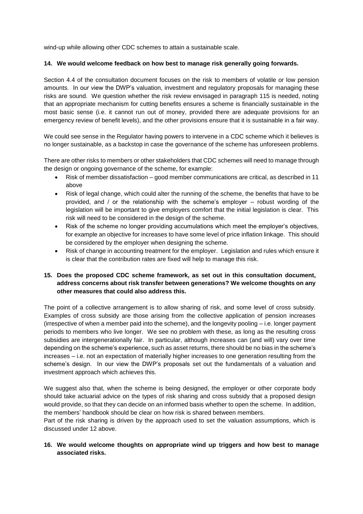wind-up while allowing other CDC schemes to attain a sustainable scale.

#### **14. We would welcome feedback on how best to manage risk generally going forwards.**

Section 4.4 of the consultation document focuses on the risk to members of volatile or low pension amounts. In our view the DWP's valuation, investment and regulatory proposals for managing these risks are sound. We question whether the risk review envisaged in paragraph 115 is needed, noting that an appropriate mechanism for cutting benefits ensures a scheme is financially sustainable in the most basic sense (i.e. it cannot run out of money, provided there are adequate provisions for an emergency review of benefit levels), and the other provisions ensure that it is sustainable in a fair way.

We could see sense in the Regulator having powers to intervene in a CDC scheme which it believes is no longer sustainable, as a backstop in case the governance of the scheme has unforeseen problems.

There are other risks to members or other stakeholders that CDC schemes will need to manage through the design or ongoing governance of the scheme, for example:

- Risk of member dissatisfaction good member communications are critical, as described in 11 above
- Risk of legal change, which could alter the running of the scheme, the benefits that have to be provided, and / or the relationship with the scheme's employer – robust wording of the legislation will be important to give employers comfort that the initial legislation is clear. This risk will need to be considered in the design of the scheme.
- Risk of the scheme no longer providing accumulations which meet the employer's objectives, for example an objective for increases to have some level of price inflation linkage. This should be considered by the employer when designing the scheme.
- Risk of change in accounting treatment for the employer. Legislation and rules which ensure it is clear that the contribution rates are fixed will help to manage this risk.

#### **15. Does the proposed CDC scheme framework, as set out in this consultation document, address concerns about risk transfer between generations? We welcome thoughts on any other measures that could also address this.**

The point of a collective arrangement is to allow sharing of risk, and some level of cross subsidy. Examples of cross subsidy are those arising from the collective application of pension increases (irrespective of when a member paid into the scheme), and the longevity pooling – i.e. longer payment periods to members who live longer. We see no problem with these, as long as the resulting cross subsidies are intergenerationally fair. In particular, although increases can (and will) vary over time depending on the scheme's experience, such as asset returns, there should be no bias in the scheme's increases – i.e. not an expectation of materially higher increases to one generation resulting from the scheme's design. In our view the DWP's proposals set out the fundamentals of a valuation and investment approach which achieves this.

We suggest also that, when the scheme is being designed, the employer or other corporate body should take actuarial advice on the types of risk sharing and cross subsidy that a proposed design would provide, so that they can decide on an informed basis whether to open the scheme. In addition, the members' handbook should be clear on how risk is shared between members.

Part of the risk sharing is driven by the approach used to set the valuation assumptions, which is discussed under 12 above.

## **16. We would welcome thoughts on appropriate wind up triggers and how best to manage associated risks.**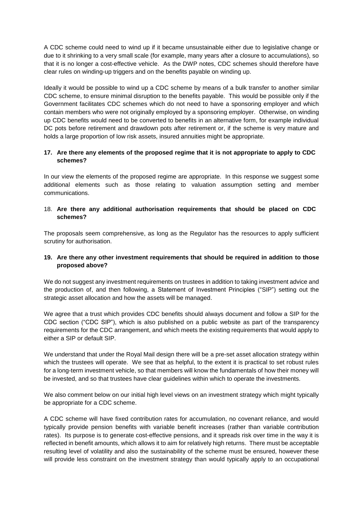A CDC scheme could need to wind up if it became unsustainable either due to legislative change or due to it shrinking to a very small scale (for example, many years after a closure to accumulations), so that it is no longer a cost-effective vehicle. As the DWP notes, CDC schemes should therefore have clear rules on winding-up triggers and on the benefits payable on winding up.

Ideally it would be possible to wind up a CDC scheme by means of a bulk transfer to another similar CDC scheme, to ensure minimal disruption to the benefits payable. This would be possible only if the Government facilitates CDC schemes which do not need to have a sponsoring employer and which contain members who were not originally employed by a sponsoring employer. Otherwise, on winding up CDC benefits would need to be converted to benefits in an alternative form, for example individual DC pots before retirement and drawdown pots after retirement or, if the scheme is very mature and holds a large proportion of low risk assets, insured annuities might be appropriate.

## **17. Are there any elements of the proposed regime that it is not appropriate to apply to CDC schemes?**

In our view the elements of the proposed regime are appropriate. In this response we suggest some additional elements such as those relating to valuation assumption setting and member communications.

## 18. **Are there any additional authorisation requirements that should be placed on CDC schemes?**

The proposals seem comprehensive, as long as the Regulator has the resources to apply sufficient scrutiny for authorisation.

## **19. Are there any other investment requirements that should be required in addition to those proposed above?**

We do not suggest any investment requirements on trustees in addition to taking investment advice and the production of, and then following, a Statement of Investment Principles ("SIP") setting out the strategic asset allocation and how the assets will be managed.

We agree that a trust which provides CDC benefits should always document and follow a SIP for the CDC section ("CDC SIP"), which is also published on a public website as part of the transparency requirements for the CDC arrangement, and which meets the existing requirements that would apply to either a SIP or default SIP.

We understand that under the Royal Mail design there will be a pre-set asset allocation strategy within which the trustees will operate. We see that as helpful, to the extent it is practical to set robust rules for a long-term investment vehicle, so that members will know the fundamentals of how their money will be invested, and so that trustees have clear guidelines within which to operate the investments.

We also comment below on our initial high level views on an investment strategy which might typically be appropriate for a CDC scheme.

A CDC scheme will have fixed contribution rates for accumulation, no covenant reliance, and would typically provide pension benefits with variable benefit increases (rather than variable contribution rates). Its purpose is to generate cost-effective pensions, and it spreads risk over time in the way it is reflected in benefit amounts, which allows it to aim for relatively high returns. There must be acceptable resulting level of volatility and also the sustainability of the scheme must be ensured, however these will provide less constraint on the investment strategy than would typically apply to an occupational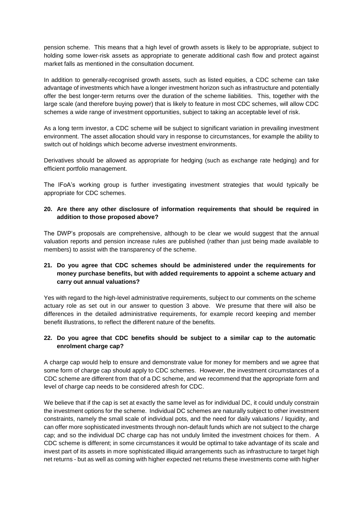pension scheme. This means that a high level of growth assets is likely to be appropriate, subject to holding some lower-risk assets as appropriate to generate additional cash flow and protect against market falls as mentioned in the consultation document.

In addition to generally-recognised growth assets, such as listed equities, a CDC scheme can take advantage of investments which have a longer investment horizon such as infrastructure and potentially offer the best longer-term returns over the duration of the scheme liabilities. This, together with the large scale (and therefore buying power) that is likely to feature in most CDC schemes, will allow CDC schemes a wide range of investment opportunities, subject to taking an acceptable level of risk.

As a long term investor, a CDC scheme will be subject to significant variation in prevailing investment environment. The asset allocation should vary in response to circumstances, for example the ability to switch out of holdings which become adverse investment environments.

Derivatives should be allowed as appropriate for hedging (such as exchange rate hedging) and for efficient portfolio management.

The IFoA's working group is further investigating investment strategies that would typically be appropriate for CDC schemes.

## **20. Are there any other disclosure of information requirements that should be required in addition to those proposed above?**

The DWP's proposals are comprehensive, although to be clear we would suggest that the annual valuation reports and pension increase rules are published (rather than just being made available to members) to assist with the transparency of the scheme.

## **21. Do you agree that CDC schemes should be administered under the requirements for money purchase benefits, but with added requirements to appoint a scheme actuary and carry out annual valuations?**

Yes with regard to the high-level administrative requirements, subject to our comments on the scheme actuary role as set out in our answer to question 3 above. We presume that there will also be differences in the detailed administrative requirements, for example record keeping and member benefit illustrations, to reflect the different nature of the benefits.

## **22. Do you agree that CDC benefits should be subject to a similar cap to the automatic enrolment charge cap?**

A charge cap would help to ensure and demonstrate value for money for members and we agree that some form of charge cap should apply to CDC schemes. However, the investment circumstances of a CDC scheme are different from that of a DC scheme, and we recommend that the appropriate form and level of charge cap needs to be considered afresh for CDC.

We believe that if the cap is set at exactly the same level as for individual DC, it could unduly constrain the investment options for the scheme. Individual DC schemes are naturally subject to other investment constraints, namely the small scale of individual pots, and the need for daily valuations / liquidity, and can offer more sophisticated investments through non-default funds which are not subject to the charge cap; and so the individual DC charge cap has not unduly limited the investment choices for them. A CDC scheme is different; in some circumstances it would be optimal to take advantage of its scale and invest part of its assets in more sophisticated illiquid arrangements such as infrastructure to target high net returns - but as well as coming with higher expected net returns these investments come with higher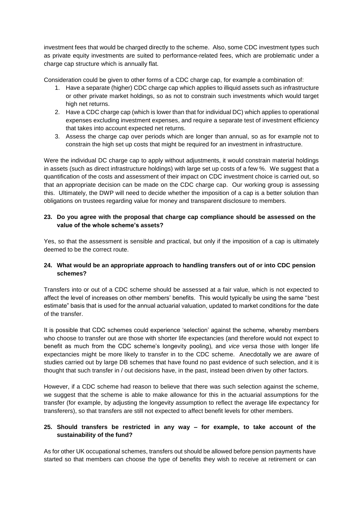investment fees that would be charged directly to the scheme. Also, some CDC investment types such as private equity investments are suited to performance-related fees, which are problematic under a charge cap structure which is annually flat.

Consideration could be given to other forms of a CDC charge cap, for example a combination of:

- 1. Have a separate (higher) CDC charge cap which applies to illiquid assets such as infrastructure or other private market holdings, so as not to constrain such investments which would target high net returns.
- 2. Have a CDC charge cap (which is lower than that for individual DC) which applies to operational expenses excluding investment expenses, and require a separate test of investment efficiency that takes into account expected net returns.
- 3. Assess the charge cap over periods which are longer than annual, so as for example not to constrain the high set up costs that might be required for an investment in infrastructure.

Were the individual DC charge cap to apply without adjustments, it would constrain material holdings in assets (such as direct infrastructure holdings) with large set up costs of a few %. We suggest that a quantification of the costs and assessment of their impact on CDC investment choice is carried out, so that an appropriate decision can be made on the CDC charge cap. Our working group is assessing this. Ultimately, the DWP will need to decide whether the imposition of a cap is a better solution than obligations on trustees regarding value for money and transparent disclosure to members.

#### **23. Do you agree with the proposal that charge cap compliance should be assessed on the value of the whole scheme's assets?**

Yes, so that the assessment is sensible and practical, but only if the imposition of a cap is ultimately deemed to be the correct route.

## **24. What would be an appropriate approach to handling transfers out of or into CDC pension schemes?**

Transfers into or out of a CDC scheme should be assessed at a fair value, which is not expected to affect the level of increases on other members' benefits. This would typically be using the same "best estimate" basis that is used for the annual actuarial valuation, updated to market conditions for the date of the transfer.

It is possible that CDC schemes could experience 'selection' against the scheme, whereby members who choose to transfer out are those with shorter life expectancies (and therefore would not expect to benefit as much from the CDC scheme's longevity pooling), and *vice versa* those with longer life expectancies might be more likely to transfer in to the CDC scheme. Anecdotally we are aware of studies carried out by large DB schemes that have found no past evidence of such selection, and it is thought that such transfer in / out decisions have, in the past, instead been driven by other factors.

However, if a CDC scheme had reason to believe that there was such selection against the scheme, we suggest that the scheme is able to make allowance for this in the actuarial assumptions for the transfer (for example, by adjusting the longevity assumption to reflect the average life expectancy for transferers), so that transfers are still not expected to affect benefit levels for other members.

## **25. Should transfers be restricted in any way – for example, to take account of the sustainability of the fund?**

As for other UK occupational schemes, transfers out should be allowed before pension payments have started so that members can choose the type of benefits they wish to receive at retirement or can